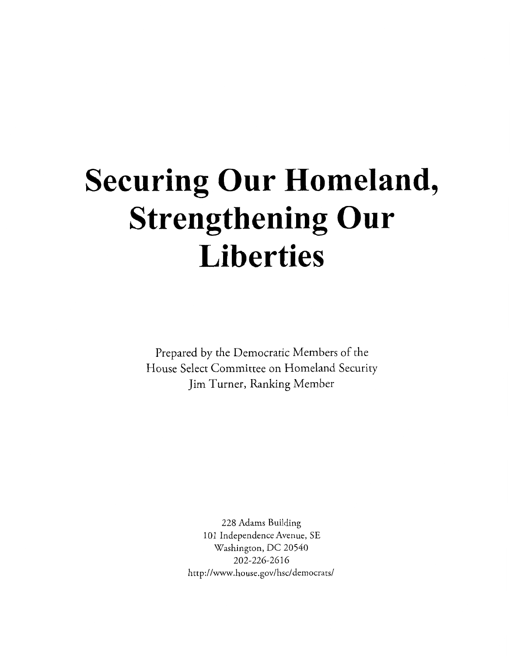# **Securing Our Homeland, Strengthening Our Liberties**

Prepared by the Democratic Members of the House Select Committee on Homeland Security Jim Turner, Ranking Member

> *228* Adams Building 101 Independence Avenue, SE Washingon, DC *20540 202-226-26 16*  **http://www.house.gov/hsc/democrats/**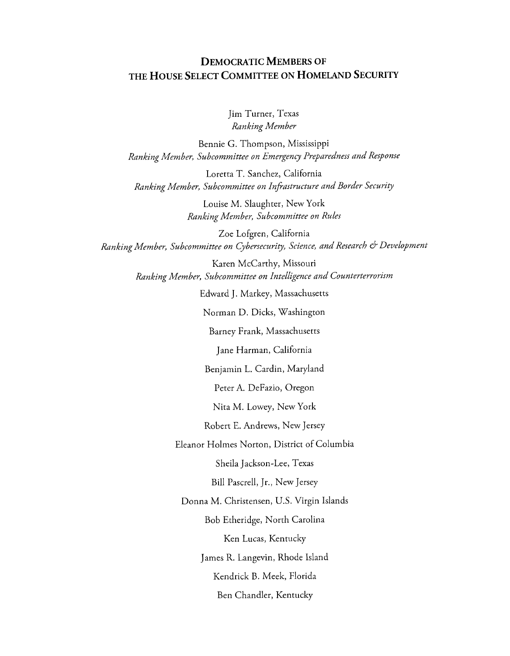#### **DEMOCRATIC MEMBERS OF THE HOUSE SELECT COMMITTEE ON HOMELAND SECURITY**

Jim Turner, Texas *Ranking Member* 

Bennie G. Thompson, Mississippi *Ranking Member, Subcommittee on Emergency Preparedness and Response* 

Loretta T. Sanchez, California *Ranking Member, Subcommittee on Infistructure and Border Security* 

> Louise M. Slaughter, New York *Ranking Member, Subcommittee on Rules*

Zoe Lofgren, California *Ran king Member, Su bcommittee on Cybersecurity, Science, and Research* d+ *Development* 

> Karen McCarthy, Missouri *Ranking Member, Subcommittee on Intelligence and Counterterrorism*

> > Edward J. Markey, Massachusetts

Norman D. Dicks, Washington

Barney Frank, Massachusetts

Jane Harman, California

Benjamin L. Cardin, Maryland

Peter A. DeFazio, Oregon

Nita M. Lowey, New York

Robert E. Andrews, New Jersey

Eleanor Holmes Norton, District of Columbia

Sheila Jackson-Lee, Texas

Bill Pascrell, Jr., New Jersey

Donna M. Christensen, U.S. Virgin Islands

Bob Etheridge, North Carolina

Ken Lucas, Kentucky

James R. Langevin, Rhode Island

Kendrick B. Meek, Florida

Ben Chandler, Kentucky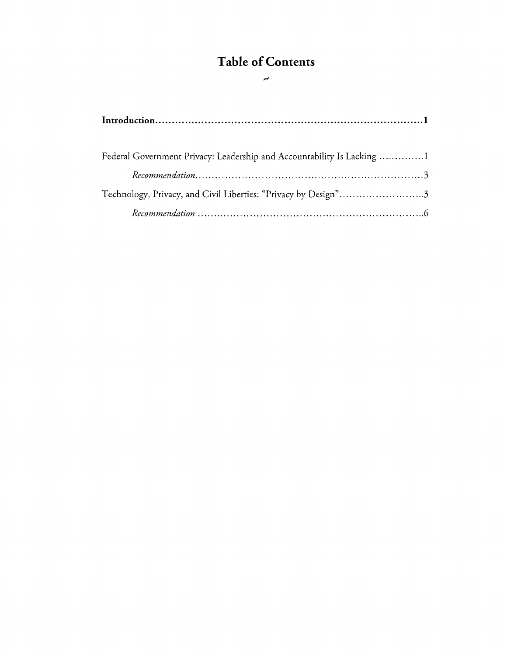## **Table of Contents d**

| Federal Government Privacy: Leadership and Accountability Is Lacking 1 |
|------------------------------------------------------------------------|
|                                                                        |
| Technology, Privacy, and Civil Liberties: "Privacy by Design"3         |
|                                                                        |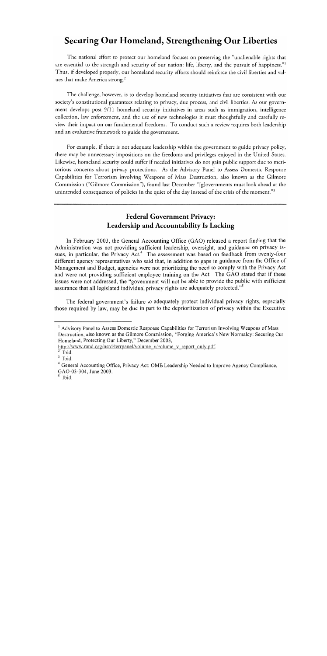### **Securing Our Homeland, Strengthening Our Liberties**

The national effort to protect our homeland focuses on preserving the "unalienable rights that are essential to the strength and security of our nation: life, liberty, and the pursuit of happiness."' Thus, if developed properly, our homeland security efforts should reinforce the civil liberties and values that make America strong.<sup>2</sup>

The challenge, however, is to develop homeland security initiatives that are consistent with our society's constitutional guarantees relating to privacy, due process, and civil liberties. As our government develops post 9/11 homeland security initiatives in areas such as immigration, intelligence collection, law enforcement, and the use of new technologies it must thoughtfully and carefully review their impact on our fundamental freedoms. To conduct such a review requires both leadership and an evaluative framework to guide the government.

For example, if there is not adequate leadership within the government to guide privacy policy, there may be unnecessary impositions on the freedoms and privileges enjoyed in the United States. Likewise, homeland security could suffer if needed initiatives do not gain public support due to meritorious concerns about privacy protections. As the Advisory Panel to Assess Domestic Response Capabilities for Terrorism Involving Weapons of Mass Destruction, also known as the Gilmore Commission ("Gilmore Commission"), found Last December "[g]overnments must look ahead at the unintended consequences of policies in the quiet of the day instead of the crisis of the moment."<sup>3</sup>

#### **Federal Government Privacy: Leadership and Accountability Is Lacking**

In February 2003, the General Accounting Office (GAO) released a report finding that the Administration was not providing sufficient leadership, oversight, and guidance on privacy issues, in particular, the Privacy  $Act.^4$  The assessment was based on feedback from twenty-four different agency representatives who said that, in addition to gaps in guidance from the Office of Management and Budget, agencies were not prioritizing the need to comply with the Privacy Act and were not providing sufficient employee training on the Act. The GAO stated that if these issues were not addressed, the "government will not be able to provide the public with sufficient assurance that all legislated individual privacy rights are adequately protected."<sup>5</sup>

The federal government's failure to adequately protect individual privacy rights, especially those required by law, may be due in part to the deprioritization of privacy within the Executive

<sup>&</sup>lt;sup>1</sup> Advisory Panel to Assess Domestic Response Capabilities for Terrorism Involving Weapons of Mass Destruction, also known as the Gilmore Commission, "Forging America's New Normalcy: Securing Our Homeland, Protecting Our Liberty," December 2003,

http://www.rand.org/nsrd/terrpanel/volume v/volume v report only.pdf.

Ibid.

 $3$  Ibid.

<sup>&</sup>lt;sup>4</sup> General Accounting Office, Privacy Act: OMB Leadership Needed to Improve Agency Compliance, GAO-03-304, June 2003.

<sup>&</sup>lt;sup>5</sup> Ibid.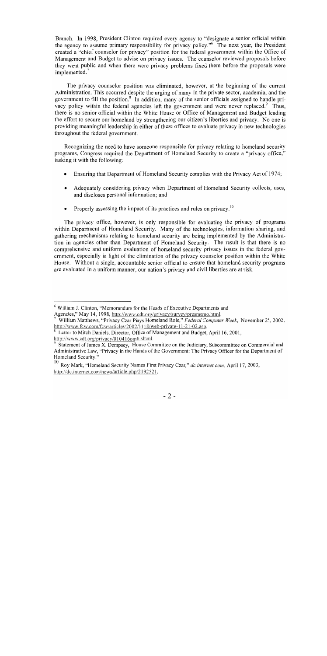Branch. In 1998, President Clinton required every agency to "designate a senior official within the agency to assume primary responsibility for privacy policy."6 The next year, the President created a "chief counselor for privacy" position for the federal government within the Office of Management and Budget to advise on privacy issues. The counselor reviewed proposals before they went public and when there were privacy problems fixed them before the proposals were implemented.<sup>7</sup>

The privacy counselor position was eliminated, however, at the beginning of the current Administration. This occurred despite the urging of many in the private sector, academia, and the government to fill the position. $\frac{8}{3}$  In addition, many of the senior officials assigned to handle privacy policy within the federal agencies left the government and were never replaced.<sup>9</sup> Thus, there is no senior official within the White House or Office of Management and Budget leading the effort to secure our homeland by strengthening our citizen's liberties and privacy. No one is providing meaningful leadership in either of these offices to evaluate privacy in new technologies throughout the federal government.

Recognizing the need to have someone responsible for privacy relating to homeland security programs, Congress required the Department of Homeland Security to create a "privacy office," tasking it with the following:

- Ensuring that Department of Homeland Security complies with the Privacy Act of 1974;  $\bullet$
- Adequately considering privacy when Department of Homeland Security collects, uses, and discloses personal information; and
- Properly assessing the impact of its practices and rules on privacy.<sup>10</sup>

The privacy office, however, is only responsible for evaluating the privacy of programs within Department of Homeland Security. Many of the technologies, information sharing, and gathering mechanisms relating to homeland security are being implemented by the Administration in agencies other than Department of Homeland Security. The result is that there is no comprehensive and uniform evaluation of homeland security privacy issues in the federal government, especially in light of the elimination of the privacy counselor position within the White House. Without a single, accountable senior official to ensure that homeland security programs are evaluated in a uniform manner, our nation's privacy and civil liberties are at risk.

<sup>&</sup>lt;sup>6</sup> William J. Clinton, "Memorandum for the Heads of Executive Departments and Agencies," May 14, 1998, http://www.cdt.org/privacy/survey/presmemo.html.

<sup>&</sup>lt;sup>7</sup> William Matthews, "Privacy Czar Plays Homeland Role," *Federal Computer Week*, November 21, 2002, http://www.fcw.com/fcw/articles/2002/1118/web-private-11-21-02.asp.

Letter to Mitch Daniels, Director, Office of Management and Budget, April 16, 2001,

http://www.cdt.org/privacy/010416omb.shtml.<br><sup>9</sup> Statement of James X. Dempsey, House Committee on the Judiciary, Subcommittee on Commercial and Administrative Law, "Privacy in the Hands of the Government: The Privacy Officer for the Department of Homeland Security."<br> $\frac{10}{2}$  Boy Mark "Home

**<sup>10</sup>**Roy Mark, "Homeland Security Names First Privacy Czar," *dc.internet.com,* April 17,2003, **http:l/dc.internet.corn/news/article.php/2 19252** 1.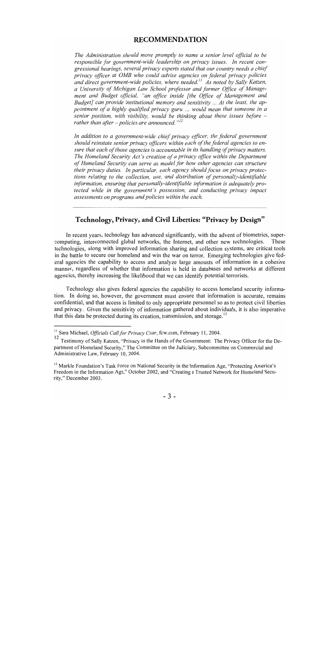#### **RECOMMENDATION**

*The Administration should move promptly to name a senior level oflcial to be responsible for government-wide leadership on privacy issues. In recent congressional hearings, several privacy experts stated that our country needs a chief privacy oflcer at OMB who could advise agencies on federal privacy policies and direct government-wide policies, where needed." As noted by Sally Katzen, a University of Michigan Law School professor and former Office of Management and Budget official, "an office inside [the Oflce of Management and Budget] can provide institutional memory and sensitivity* ... *At the least, the appointment of a highly qualijed privacy guru* ... *would mean that someone in a senior position, with visibility, would be thinking about these issues before – rather than after -policies are announced. "I2* 

In addition to a government-wide chief privacy officer, the federal government *should reinstate senior privacy oflcers within each of the federal agencies to ensure that each of those agencies is accountable in its handling of privacy matters. The Homeland Security Act's creation of a privacy office within the Department of Homeland Security can serve as model for how other agencies can structure their privacy duties. In particular, each agency should focus on privacy protections relating to the collection, use, and distribution of personally-identifiable information, ensuring that personally-identifiable information is adequately protected while in the government's possession, and conducting privacy impact assessments on programs and policies within the each.* 

#### **Technology, Privacy, and Civil Liberties: "Privacy by Design"**

In recent years, technology has advanced significantly, with the advent of biometrics, supercomputing, interconnected global networks, the Internet, and other new technologies. These technologies, along with improved information sharing and collection systems, are critical tools in the battle to secure our homeland and win the war on terror. Emerging technologies give federal agencies the capability to access and analyze large amounts of information in a cohesive manner, regardless of whether that information is held in databases and networks at different agencies, thereby increasing the likelihood that we can identify potential terrorists.

Technology also gives federal agencies the capability to access homeland security information. In doing so, however, the government must ensure that information is accurate, remains confidential, and that access is limited to only appropriate personnel so as to protect civil liberties and privacy. Given the sensitivity of information gathered about individuals, it is also imperative that this data be protected during its creation, transmission, and storage.<sup>13</sup>

<sup>&</sup>lt;sup>11</sup> Sara Michael, *Officials Call for Privacy Czar*, fcw.com, February 11, 2004.

**l2** Testimony of Sally Katzen, "Privacy in the Hands of the Government: The Privacy Ofticer for the Department of Homeland Security," The Committee on the Judiciary, Subcommittee on Commercial and Administrative Law, February 10,2004.

<sup>&</sup>lt;sup>13</sup> Markle Foundation's Task Force on National Security in the Information Age, "Protecting America's Freedom in the Information Age," October 2002, and "Creating a Trusted Network for Homeland Security," December 2003.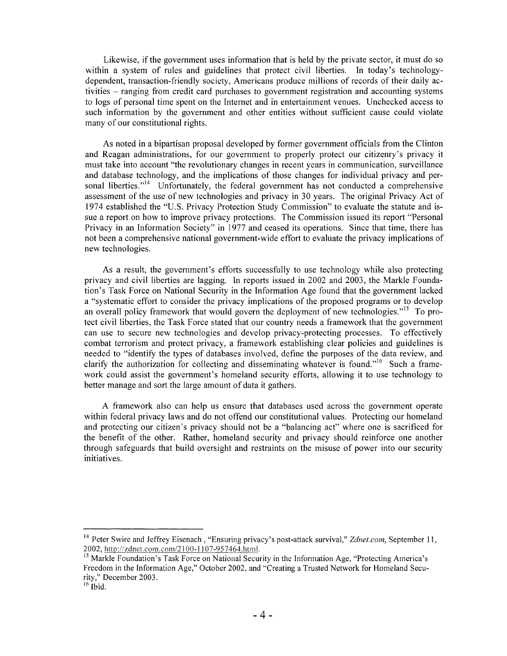Likewise, if the government uses information that is held by the private sector, it must do so within a system of rules and guidelines that protect civil liberties. In today's technologydependent, transaction-friendly society, Americans produce millions of records of their daily activities - ranging from credit card purchases to government registration and accounting systems to logs of personal time spent on the Internet and in entertainment venues. Unchecked access to such information by the government and other entities without sufficient cause could violate many of our constitutional rights.

As noted in a bipartisan proposal developed by former government officials from the Clinton and Reagan administrations, for our government to properly protect our citizenry's privacy it must take into account "the revolutionary changes in recent years in communication, surveillance and database technology, and the implications of those changes for individual privacy and personal liberties."<sup>14</sup> Unfortunately, the federal government has not conducted a comprehensive assessment of the use of new technologies and privacy in 30 years. The original Privacy Act of 1974 established the "U.S. Privacy Protection Study Commission" to evaluate the statute and issue a report on how to improve privacy protections. The Commission issued its report "Personal Privacy in an Information Society" in 1977 and ceased its operations. Since that time, there has not been a comprehensive national government-wide effort to evaluate the privacy implications of new technologies.

As a result, the government's efforts successfully to use technology while also protecting privacy and civil liberties are lagging. In reports issued in 2002 and 2003, the Markle Foundation's Task Force on National Security in the Information Age found that the government lacked a "systematic effort to consider the privacy implications of the proposed programs or to develop an overall policy framework that would govern the deployment of new technologies."<sup>15</sup> To protect civil liberties, the Task Force stated that our country needs a framework that the government can use to secure new technologies and develop privacy-protecting processes. To effectively combat terrorism and protect privacy, a framework establishing clear policies and guidelines is needed to "identify the types of databases involved, define the purposes of the data review, and clarify the authorization for collecting and disseminating whatever is found."<sup>16</sup> Such a framework could assist the government's homeland security efforts, allowing it to use technology to better manage and sort the large amount of data it gathers.

A framework also can help us ensure that databases used across the government operate within federal privacy laws and do not offend our constitutional values. Protecting our homeland and protecting our citizen's privacy should not be a "balancing act" where one is sacrificed for the benefit of the other. Rather, homeland security and privacy should reinforce one another through safeguards that build oversight and restraints on the misuse of power into our security initiatives.

<sup>&</sup>lt;sup>14</sup> Peter Swire and Jeffrey Eisenach, "Ensuring privacy's post-attack survival," *Zdnet.com*, September 11, 2002, http://zdnet.com.com/2100-1107-957464.html.

<sup>&</sup>lt;sup>15</sup> Markle Foundation's Task Force on National Security in the Information Age, "Protecting America's Freedom in the Information Age," October 2002, and "Creating a Trusted Network for Homeland Security," December 2003.

 $16$  Ibid.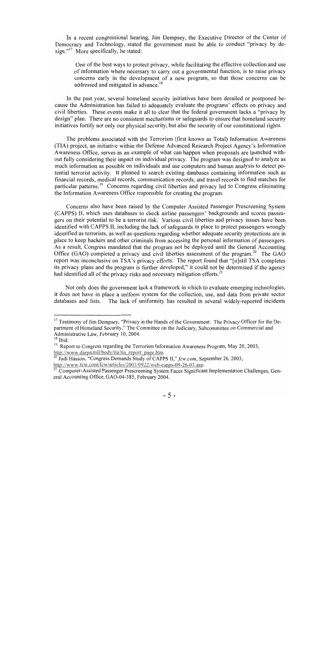In a recent congressional hearing, Jim Dempsey, the Executive Director of the Center of Democracy and Technology, stated the government must be able to conduct "privacy by design."<sup>17</sup> More specifically, he stated:

One of the best ways to protect privacy, while facilitating the effective collection and use of information where necessary to carry out a governmental function, is to raise privacy concerns early in the development of a new program, so that those concerns can be addressed and mitigated in advance.<sup>18</sup>

In the past year, several homeland security initiatives have been derailed or postponed because the Administration has failed to adequately evaluate the programs' effects on privacy and civil liberties. These events make it all to clear that the federal government lacks a "privacy by design" plan. There are no consistent mechanisms or safeguards to ensure that homeland security initiatives fortify not only our physical security, but also the security of our constitutional rights.

The problems associated with the Terrorism (first known as Total) Information Awareness (TIA) project, an initiative within the Defense Advanced Research Project Agency's Information Awareness Office, serves as an example of what can happen when proposals are launched without fully considering their impact on individual privacy. The program was designed to analyze as much information as possible on individuals and use computers and human analysis to detect potential terrorist activity. It planned to search existing databases containing information such as financial records, medical records, communication records, and travel records to find matches for particular patterns.<sup>19</sup> Concerns regarding civil liberties and privacy led to Congress eliminating the Information Awareness Office responsible for creating the program.

Concerns also have been raised by the Computer Assisted Passenger Prescreening System (CAPPS) 11, which uses databases to check airline passengers' backgrounds and scores passengers on their potential to be a terrorist risk. Various civil liberties and privacy issues have been identified with CAPPS 11, including the lack of safeguards in place to protect passengers wrongly identified as terrorists, as well as questions regarding whether adequate security protections are in place to keep hackers and other criminals from accessing the personal information of passengers. As a result, Congress mandated that the program not be deployed until the General Accounting Office (GAO) completed a privacy and civil liberties assessment of the program.<sup>20</sup> The GAO report was inconclusive on TSA's privacy efforts. The report found that "[u]ntil TSA completes its privacy plans and the program is further developed," it could not be determined if the agency had identified all of the privacy risks and necessary mitigation efforts. $^{21}$ 

Not only does the government lack a framework in which to evaluate emerging technologies, it does not have in place a uniform system for the collection, use, and data from private sector databases and lists. The lack of uniformity has resulted in several widely-reported incidents

 $17$  Testimony of Jim Dempsey, "Privacy in the Hands of the Government: The Privacy Officer for the Department of Homeland Security," The Committee on the Judiciary, Subcommittee on Commercial and Administrative Law, February 10, 2004.<br><sup>18</sup> Ibid.

<sup>&</sup>lt;sup>19</sup> Report to Congress regarding the Terrorism Information Awareness Program, May 20, 2003, http://www.darpa.mil/body/tia/tia\_report\_page.htm

*<sup>20</sup>*Judi Hasson, "Congress Demands Study of CAPPS **II,"fcw.com,** September 26,2003,

http://www.fcw.com/fcw/articles/2003/0922/web-capps-09-26-03.asp.<br><sup>21</sup> Cam

Computer-Assisted Passenger Prescreening system Faces Significant Implementation Challenges, General Accounting Office, GAO-04-385, February 2004.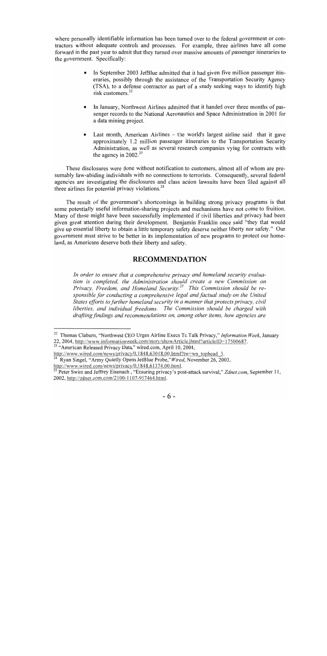where personally identifiable information has been turned over to the federal government or contractors without adequate controls and processes. For example, three airlines have all come forward in the past year to admit that they turned over massive amounts of passenger itineraries to the government. Specifically:

- In September 2003 JetBlue admitted that it had given five million passenger itineraries, possibly through the assistance of the Transportation Security Agency (TSA), to a defense contractor as part of a study seeking ways to identify high risk customers<sup>22</sup>
- In January, Northwest Airlines admitted that it handed over three months of passenger records to the National Aeronautics and Space Administration in 2001 for a data mining project.
- Last month, American Airlines  $-$  the world's largest airline said that it gave approximately 1.2 million passenger itineraries to the Transportation Security Administration, as well as several research companies vying for contracts with the agency in  $2002.^{23}$

These disclosures were done without notification to customers, almost all of whom are presumably law-abiding individuals with no connections to terrorists. Consequently, several federal agencies are investigating the disclosures and class action lawsuits have been filed against all three airlines for potential privacy violations. $24$ 

The result of the government's shortcomings in building strong privacy programs is that some potentially useful information-sharing projects and mechanisms have not come to fruition. Many of these might have been successfully implemented if civil liberties and privacy had been given great attention during their development. Benjamin Franklin once said "they that would give up essential liberty to obtain a little temporary safety deserve neither liberty nor safety." Our government must strive to be better in its implementation of new programs to protect our homeland, as Americans deserve both their liberty and safety.

#### **RECOMMENDATION**

*In order to ensure that a comprehensive privacy and homeland security evaluation is completed, the Administration should create a new Commission on Privacy, Freedom, and Homeland Security.*<sup>25</sup> *This Commission should be responsible for conducting a comprehensive legal and factual study on the United States eflorts to further homeland security in a manner that protects privacy, civil liberties, and individual freedoms. The Commission should be charged with drafting findings and recommendations on, among other items, how agencies are* 

<sup>&</sup>lt;sup>22</sup> Thomas Claburn, "Northwest CEO Urges Airline Execs To Talk Privacy," *Information Week*, January 22, 2004, http://www.informationweek.com/story/showArticle.ihtml?articleID=17500687.

 $22, 2004, \frac{\text{Im}y_{37}}{23}$  "American Released Privacy Data," wired.com, April 10, 2004,

http://www.wired.com/news/privacy/0,1848,63018,00.html?tw=wn tophead 3. Ryan Singel, "Army Ouietly Opens JetBlue Probe," Wired, November 26, 2003, http://www.wired.com/news/privacy/0,1848.61374.00.html.

Peter Swire and Jeffrey Eisenach , "Ensuring privacy's post-attack survival," Zdnet.com, September 11, 2002, http://zdnet.com.com/2 100- I 107-957364.html.